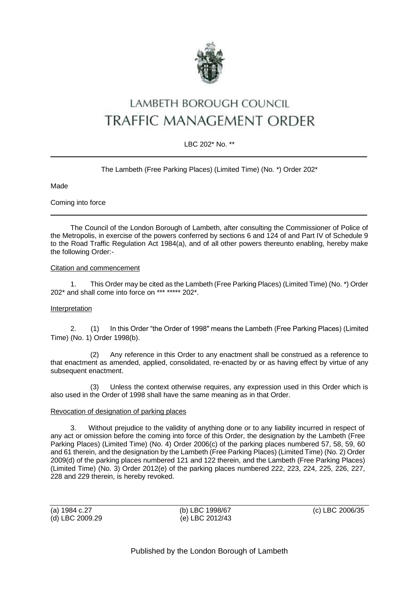

# LAMBETH BOROUGH COUNCIL TRAFFIC MANAGEMENT ORDER

# LBC 202\* No. \*\*

### The Lambeth (Free Parking Places) (Limited Time) (No. \*) Order 202\*

**Made** 

Coming into force

The Council of the London Borough of Lambeth, after consulting the Commissioner of Police of the Metropolis, in exercise of the powers conferred by sections 6 and 124 of and Part IV of Schedule 9 to the Road Traffic Regulation Act 1984(a), and of all other powers thereunto enabling, hereby make the following Order:-

#### Citation and commencement

1. This Order may be cited as the Lambeth (Free Parking Places) (Limited Time) (No. \*) Order 202\* and shall come into force on \*\*\* \*\*\*\*\* 202\*.

#### Interpretation

2. (1) In this Order "the Order of 1998" means the Lambeth (Free Parking Places) (Limited Time) (No. 1) Order 1998(b).

(2) Any reference in this Order to any enactment shall be construed as a reference to that enactment as amended, applied, consolidated, re-enacted by or as having effect by virtue of any subsequent enactment.

(3) Unless the context otherwise requires, any expression used in this Order which is also used in the Order of 1998 shall have the same meaning as in that Order.

#### Revocation of designation of parking places

3. Without prejudice to the validity of anything done or to any liability incurred in respect of any act or omission before the coming into force of this Order, the designation by the Lambeth (Free Parking Places) (Limited Time) (No. 4) Order 2006(c) of the parking places numbered 57, 58, 59, 60 and 61 therein, and the designation by the Lambeth (Free Parking Places) (Limited Time) (No. 2) Order 2009(d) of the parking places numbered 121 and 122 therein, and the Lambeth (Free Parking Places) (Limited Time) (No. 3) Order 2012(e) of the parking places numbered 222, 223, 224, 225, 226, 227, 228 and 229 therein, is hereby revoked.

(a) 1984 c.27 (b) LBC 1998/67 (c) LBC 2006/35 (d) LBC 2009.29 (e) LBC 2012/43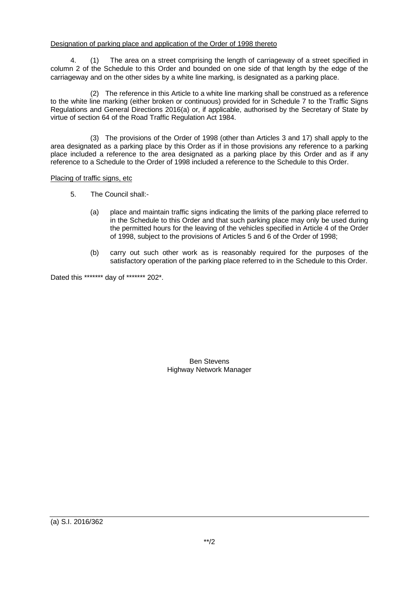## Designation of parking place and application of the Order of 1998 thereto

4. (1) The area on a street comprising the length of carriageway of a street specified in column 2 of the Schedule to this Order and bounded on one side of that length by the edge of the carriageway and on the other sides by a white line marking, is designated as a parking place.

(2) The reference in this Article to a white line marking shall be construed as a reference to the white line marking (either broken or continuous) provided for in Schedule 7 to the Traffic Signs Regulations and General Directions 2016(a) or, if applicable, authorised by the Secretary of State by virtue of section 64 of the Road Traffic Regulation Act 1984.

(3) The provisions of the Order of 1998 (other than Articles 3 and 17) shall apply to the area designated as a parking place by this Order as if in those provisions any reference to a parking place included a reference to the area designated as a parking place by this Order and as if any reference to a Schedule to the Order of 1998 included a reference to the Schedule to this Order.

Placing of traffic signs, etc

- 5. The Council shall:-
	- (a) place and maintain traffic signs indicating the limits of the parking place referred to in the Schedule to this Order and that such parking place may only be used during the permitted hours for the leaving of the vehicles specified in Article 4 of the Order of 1998, subject to the provisions of Articles 5 and 6 of the Order of 1998;
	- (b) carry out such other work as is reasonably required for the purposes of the satisfactory operation of the parking place referred to in the Schedule to this Order.

Dated this \*\*\*\*\*\*\* day of \*\*\*\*\*\*\* 202\*.

Ben Stevens Highway Network Manager

(a) S.I. 2016/362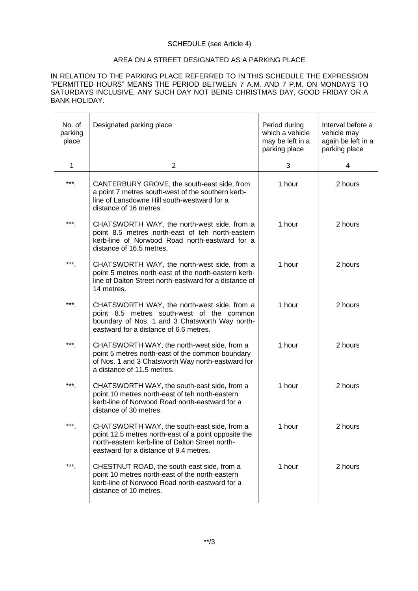#### SCHEDULE (see Article 4)

#### AREA ON A STREET DESIGNATED AS A PARKING PLACE

IN RELATION TO THE PARKING PLACE REFERRED TO IN THIS SCHEDULE THE EXPRESSION "PERMITTED HOURS" MEANS THE PERIOD BETWEEN 7 A.M. AND 7 P.M. ON MONDAYS TO SATURDAYS INCLUSIVE, ANY SUCH DAY NOT BEING CHRISTMAS DAY, GOOD FRIDAY OR A BANK HOLIDAY.

| No. of<br>parking<br>place | Designated parking place                                                                                                                                                                         | Period during<br>which a vehicle<br>may be left in a<br>parking place | Interval before a<br>vehicle may<br>again be left in a<br>parking place |
|----------------------------|--------------------------------------------------------------------------------------------------------------------------------------------------------------------------------------------------|-----------------------------------------------------------------------|-------------------------------------------------------------------------|
| 1                          | 2                                                                                                                                                                                                | 3                                                                     | 4                                                                       |
| $***$                      | CANTERBURY GROVE, the south-east side, from<br>a point 7 metres south-west of the southern kerb-<br>line of Lansdowne Hill south-westward for a<br>distance of 16 metres.                        | 1 hour                                                                | 2 hours                                                                 |
| ***                        | CHATSWORTH WAY, the north-west side, from a<br>point 8.5 metres north-east of teh north-eastern<br>kerb-line of Norwood Road north-eastward for a<br>distance of 16.5 metres,                    | 1 hour                                                                | 2 hours                                                                 |
| ***                        | CHATSWORTH WAY, the north-west side, from a<br>point 5 metres north-east of the north-eastern kerb-<br>line of Dalton Street north-eastward for a distance of<br>14 metres.                      | 1 hour                                                                | 2 hours                                                                 |
| ***                        | CHATSWORTH WAY, the north-west side, from a<br>point 8.5 metres south-west of the common<br>boundary of Nos. 1 and 3 Chatsworth Way north-<br>eastward for a distance of 6.6 metres.             | 1 hour                                                                | 2 hours                                                                 |
| ***                        | CHATSWORTH WAY, the north-west side, from a<br>point 5 metres north-east of the common boundary<br>of Nos. 1 and 3 Chatsworth Way north-eastward for<br>a distance of 11.5 metres.               | 1 hour                                                                | 2 hours                                                                 |
| $***$                      | CHATSWORTH WAY, the south-east side, from a<br>point 10 metres north-east of teh north-eastern<br>kerb-line of Norwood Road north-eastward for a<br>distance of 30 metres.                       | 1 hour                                                                | 2 hours                                                                 |
| ***                        | CHATSWORTH WAY, the south-east side, from a<br>point 12.5 metres north-east of a point opposite the<br>north-eastern kerb-line of Dalton Street north-<br>eastward for a distance of 9.4 metres. | 1 hour                                                                | 2 hours                                                                 |
| $***$                      | CHESTNUT ROAD, the south-east side, from a<br>point 10 metres north-east of the north-eastern<br>kerb-line of Norwood Road north-eastward for a<br>distance of 10 metres.                        | 1 hour                                                                | 2 hours                                                                 |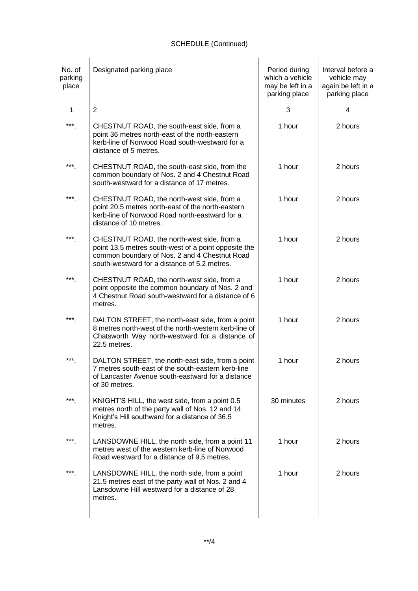| No. of<br>parking<br>place | Designated parking place                                                                                                                                                                            | Period during<br>which a vehicle<br>may be left in a<br>parking place | Interval before a<br>vehicle may<br>again be left in a<br>parking place |
|----------------------------|-----------------------------------------------------------------------------------------------------------------------------------------------------------------------------------------------------|-----------------------------------------------------------------------|-------------------------------------------------------------------------|
| 1                          | 2                                                                                                                                                                                                   | 3                                                                     | 4                                                                       |
| ***                        | CHESTNUT ROAD, the south-east side, from a<br>point 36 metres north-east of the north-eastern<br>kerb-line of Norwood Road south-westward for a<br>diistance of 5 metres.                           | 1 hour                                                                | 2 hours                                                                 |
| $***$                      | CHESTNUT ROAD, the south-east side, from the<br>common boundary of Nos. 2 and 4 Chestnut Road<br>south-westward for a distance of 17 metres.                                                        | 1 hour                                                                | 2 hours                                                                 |
| ***                        | CHESTNUT ROAD, the north-west side, from a<br>point 20.5 metres north-east of the north-eastern<br>kerb-line of Norwood Road north-eastward for a<br>distance of 10 metres.                         | 1 hour                                                                | 2 hours                                                                 |
| ***                        | CHESTNUT ROAD, the north-west side, from a<br>point 13.5 metres south-west of a point opposite the<br>common boundary of Nos. 2 and 4 Chestnut Road<br>south-westward for a distance of 5.2 metres. | 1 hour                                                                | 2 hours                                                                 |
| ***                        | CHESTNUT ROAD, the north-west side, from a<br>point opposite the common boundary of Nos. 2 and<br>4 Chestnut Road south-westward for a distance of 6<br>metres.                                     | 1 hour                                                                | 2 hours                                                                 |
| ***                        | DALTON STREET, the north-east side, from a point<br>8 metres north-west of the north-western kerb-line of<br>Chatsworth Way north-westward for a distance of<br>22.5 metres.                        | 1 hour                                                                | 2 hours                                                                 |
| ***                        | DALTON STREET, the north-east side, from a point<br>7 metres south-east of the south-eastern kerb-line<br>of Lancaster Avenue south-eastward for a distance<br>of 30 metres.                        | 1 hour                                                                | 2 hours                                                                 |
| ***                        | KNIGHT'S HILL, the west side, from a point 0.5<br>metres north of the party wall of Nos. 12 and 14<br>Knight's Hill southward for a distance of 36.5<br>metres.                                     | 30 minutes                                                            | 2 hours                                                                 |
| ***                        | LANSDOWNE HILL, the north side, from a point 11<br>metres west of the western kerb-line of Norwood<br>Road westward for a distance of 9,5 metres.                                                   | 1 hour                                                                | 2 hours                                                                 |
| ***                        | LANSDOWNE HILL, the north side, from a point<br>21.5 metres east of the party wall of Nos. 2 and 4<br>Lansdowne Hill westward for a distance of 28<br>metres.                                       | 1 hour                                                                | 2 hours                                                                 |
|                            |                                                                                                                                                                                                     |                                                                       |                                                                         |